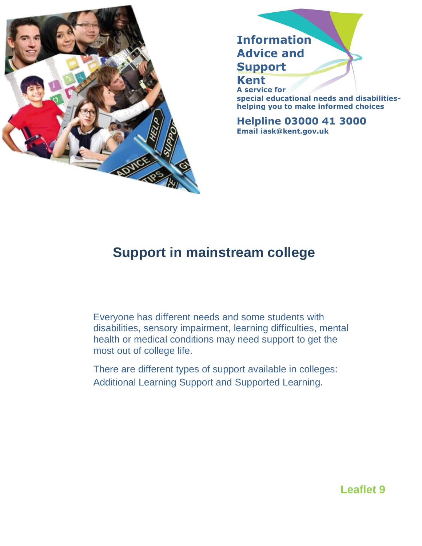

**Information Advice and Support Kent**

**A service for special educational needs and disabilitieshelping you to make informed choices**

**Helpline 03000 41 3000 Email iask@kent.gov.uk**

# **Support in mainstream college**

Everyone has different needs and some students with disabilities, sensory impairment, learning difficulties, mental health or medical conditions may need support to get the most out of college life.

There are different types of support available in colleges: Additional Learning Support and Supported Learning.

## **Leaflet 9**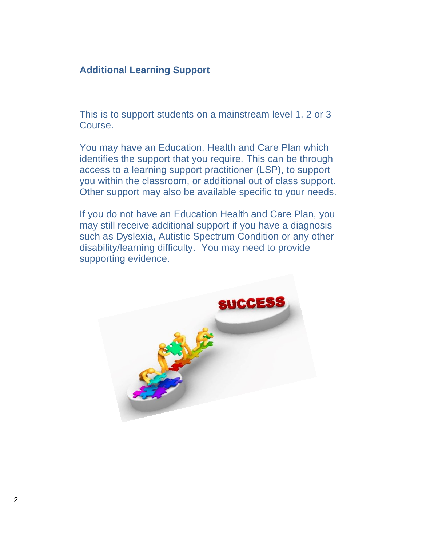#### **Additional Learning Support**

This is to support students on a mainstream level 1, 2 or 3 Course.

You may have an Education, Health and Care Plan which identifies the support that you require. This can be through access to a learning support practitioner (LSP), to support you within the classroom, or additional out of class support. Other support may also be available specific to your needs.

If you do not have an Education Health and Care Plan, you may still receive additional support if you have a diagnosis such as Dyslexia, Autistic Spectrum Condition or any other disability/learning difficulty. You may need to provide supporting evidence.

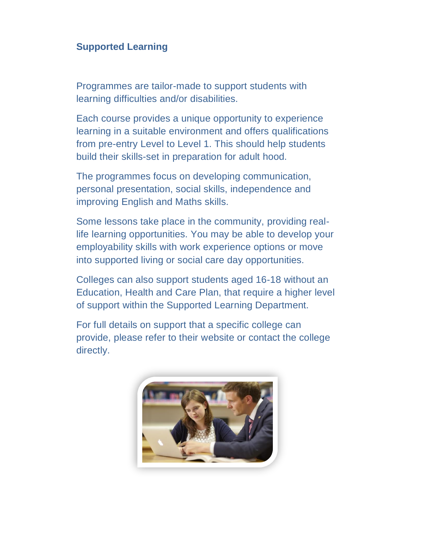### **Supported Learning**

Programmes are tailor-made to support students with learning difficulties and/or disabilities.

Each course provides a unique opportunity to experience learning in a suitable environment and offers qualifications from pre-entry Level to Level 1. This should help students build their skills-set in preparation for adult hood.

The programmes focus on developing communication, personal presentation, social skills, independence and improving English and Maths skills.

Some lessons take place in the community, providing reallife learning opportunities. You may be able to develop your employability skills with work experience options or move into supported living or social care day opportunities.

Colleges can also support students aged 16-18 without an Education, Health and Care Plan, that require a higher level of support within the Supported Learning Department.

For full details on support that a specific college can provide, please refer to their website or contact the college directly.